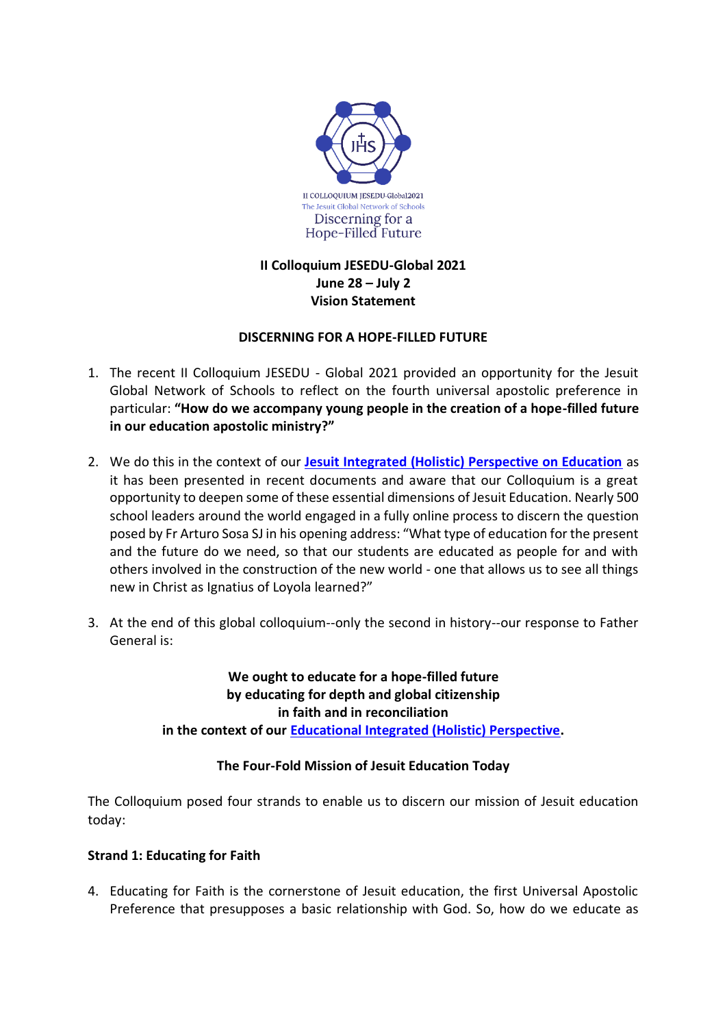

# **II Colloquium JESEDU-Global 2021 June 28 – July 2 Vision Statement**

# **DISCERNING FOR A HOPE-FILLED FUTURE**

- 1. The recent II Colloquium JESEDU Global 2021 provided an opportunity for the Jesuit Global Network of Schools to reflect on the fourth universal apostolic preference in particular: **"How do we accompany young people in the creation of a hope-filled future in our education apostolic ministry?"**
- 2. We do this in the context of our **[Jesuit Integrated \(Holistic\) Perspective on Education](https://www.educatemagis.org/infographic-integrated-perspective/)** as it has been presented in recent documents and aware that our Colloquium is a great opportunity to deepen some of these essential dimensions of Jesuit Education. Nearly 500 school leaders around the world engaged in a fully online process to discern the question posed by Fr Arturo Sosa SJ in his opening address: "What type of education for the present and the future do we need, so that our students are educated as people for and with others involved in the construction of the new world - one that allows us to see all things new in Christ as Ignatius of Loyola learned?"
- 3. At the end of this global colloquium--only the second in history--our response to Father General is:

**We ought to educate for a hope-filled future by educating for depth and global citizenship in faith and in reconciliation in the context of our [Educational Integrated \(Holistic\) Perspective.](https://www.educatemagis.org/infographic-integrated-perspective/)**

# **The Four-Fold Mission of Jesuit Education Today**

The Colloquium posed four strands to enable us to discern our mission of Jesuit education today:

### **Strand 1: Educating for Faith**

4. Educating for Faith is the cornerstone of Jesuit education, the first Universal Apostolic Preference that presupposes a basic relationship with God. So, how do we educate as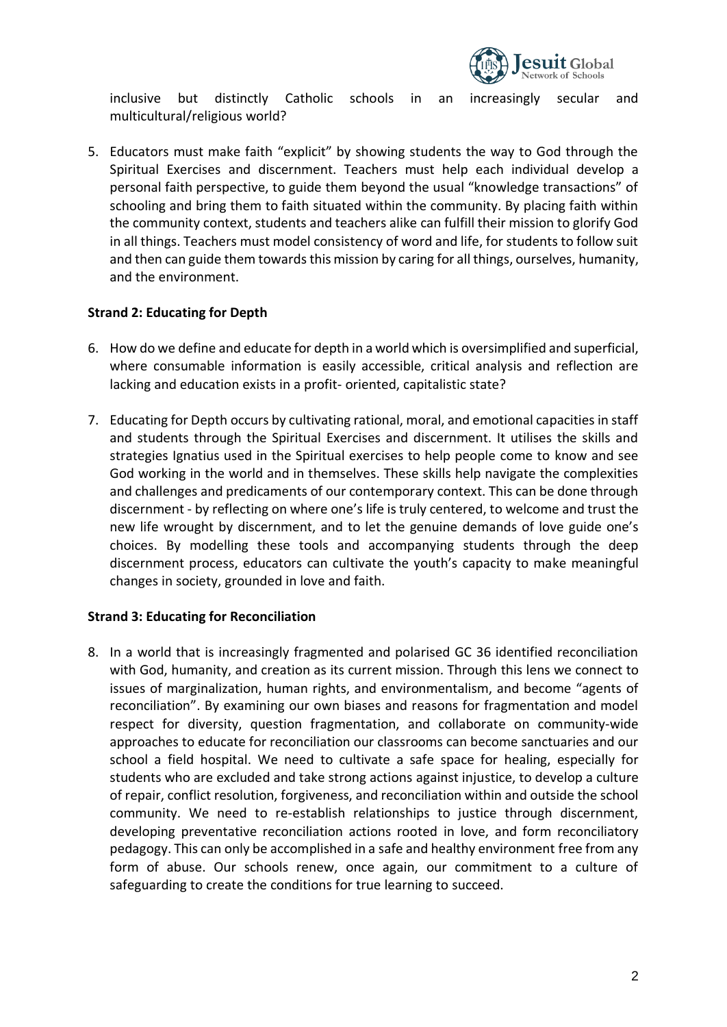

inclusive but distinctly Catholic schools in an increasingly secular and multicultural/religious world?

5. Educators must make faith "explicit" by showing students the way to God through the Spiritual Exercises and discernment. Teachers must help each individual develop a personal faith perspective, to guide them beyond the usual "knowledge transactions" of schooling and bring them to faith situated within the community. By placing faith within the community context, students and teachers alike can fulfill their mission to glorify God in all things. Teachers must model consistency of word and life, for students to follow suit and then can guide them towards this mission by caring for all things, ourselves, humanity, and the environment.

## **Strand 2: Educating for Depth**

- 6. How do we define and educate for depth in a world which is oversimplified and superficial, where consumable information is easily accessible, critical analysis and reflection are lacking and education exists in a profit- oriented, capitalistic state?
- 7. Educating for Depth occurs by cultivating rational, moral, and emotional capacities in staff and students through the Spiritual Exercises and discernment. It utilises the skills and strategies Ignatius used in the Spiritual exercises to help people come to know and see God working in the world and in themselves. These skills help navigate the complexities and challenges and predicaments of our contemporary context. This can be done through discernment - by reflecting on where one's life is truly centered, to welcome and trust the new life wrought by discernment, and to let the genuine demands of love guide one's choices. By modelling these tools and accompanying students through the deep discernment process, educators can cultivate the youth's capacity to make meaningful changes in society, grounded in love and faith.

### **Strand 3: Educating for Reconciliation**

8. In a world that is increasingly fragmented and polarised GC 36 identified reconciliation with God, humanity, and creation as its current mission. Through this lens we connect to issues of marginalization, human rights, and environmentalism, and become "agents of reconciliation". By examining our own biases and reasons for fragmentation and model respect for diversity, question fragmentation, and collaborate on community-wide approaches to educate for reconciliation our classrooms can become sanctuaries and our school a field hospital. We need to cultivate a safe space for healing, especially for students who are excluded and take strong actions against injustice, to develop a culture of repair, conflict resolution, forgiveness, and reconciliation within and outside the school community. We need to re-establish relationships to justice through discernment, developing preventative reconciliation actions rooted in love, and form reconciliatory pedagogy. This can only be accomplished in a safe and healthy environment free from any form of abuse. Our schools renew, once again, our commitment to a culture of safeguarding to create the conditions for true learning to succeed.